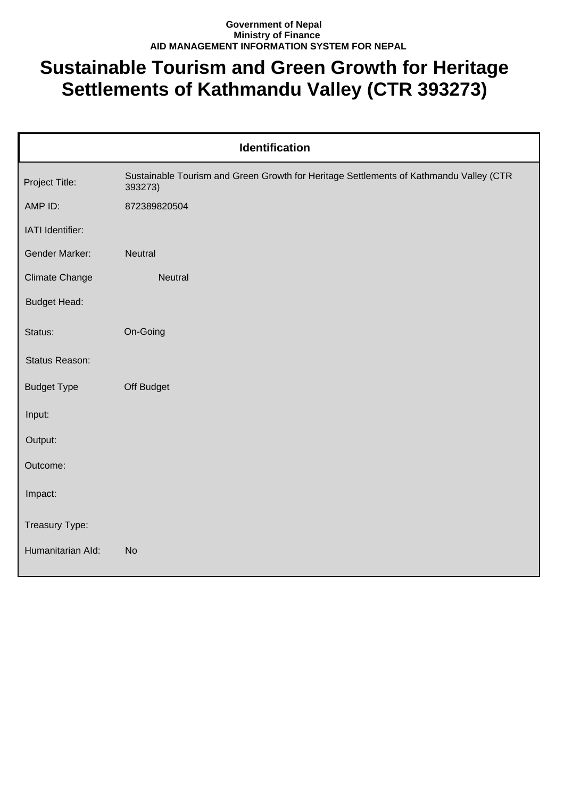## **Government of Nepal Ministry of Finance AID MANAGEMENT INFORMATION SYSTEM FOR NEPAL**

## **Sustainable Tourism and Green Growth for Heritage Settlements of Kathmandu Valley (CTR 393273)**

| Identification        |                                                                                                   |  |
|-----------------------|---------------------------------------------------------------------------------------------------|--|
| Project Title:        | Sustainable Tourism and Green Growth for Heritage Settlements of Kathmandu Valley (CTR<br>393273) |  |
| AMP ID:               | 872389820504                                                                                      |  |
| IATI Identifier:      |                                                                                                   |  |
| Gender Marker:        | Neutral                                                                                           |  |
| <b>Climate Change</b> | Neutral                                                                                           |  |
| <b>Budget Head:</b>   |                                                                                                   |  |
| Status:               | On-Going                                                                                          |  |
| Status Reason:        |                                                                                                   |  |
| <b>Budget Type</b>    | Off Budget                                                                                        |  |
| Input:                |                                                                                                   |  |
| Output:               |                                                                                                   |  |
| Outcome:              |                                                                                                   |  |
| Impact:               |                                                                                                   |  |
| Treasury Type:        |                                                                                                   |  |
| Humanitarian Ald:     | <b>No</b>                                                                                         |  |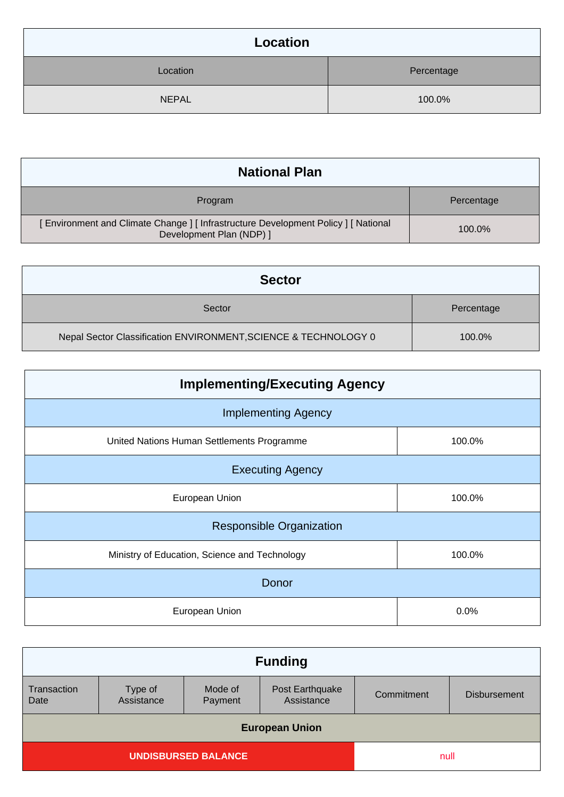| Location     |            |
|--------------|------------|
| Location     | Percentage |
| <b>NEPAL</b> | 100.0%     |

| <b>National Plan</b>                                                                                          |            |
|---------------------------------------------------------------------------------------------------------------|------------|
| Program                                                                                                       | Percentage |
| Environment and Climate Change ] [ Infrastructure Development Policy ] [ National<br>Development Plan (NDP) ] | 100.0%     |

| <b>Sector</b>                                                   |            |
|-----------------------------------------------------------------|------------|
| Sector                                                          | Percentage |
| Nepal Sector Classification ENVIRONMENT, SCIENCE & TECHNOLOGY 0 | 100.0%     |

| <b>Implementing/Executing Agency</b>          |        |  |
|-----------------------------------------------|--------|--|
| <b>Implementing Agency</b>                    |        |  |
| United Nations Human Settlements Programme    | 100.0% |  |
| <b>Executing Agency</b>                       |        |  |
| European Union                                | 100.0% |  |
| <b>Responsible Organization</b>               |        |  |
| Ministry of Education, Science and Technology | 100.0% |  |
| Donor                                         |        |  |
| European Union                                | 0.0%   |  |

| <b>Funding</b>                     |                       |                    |                               |            |                     |
|------------------------------------|-----------------------|--------------------|-------------------------------|------------|---------------------|
| Transaction<br>Date                | Type of<br>Assistance | Mode of<br>Payment | Post Earthquake<br>Assistance | Commitment | <b>Disbursement</b> |
| <b>European Union</b>              |                       |                    |                               |            |                     |
| <b>UNDISBURSED BALANCE</b><br>null |                       |                    |                               |            |                     |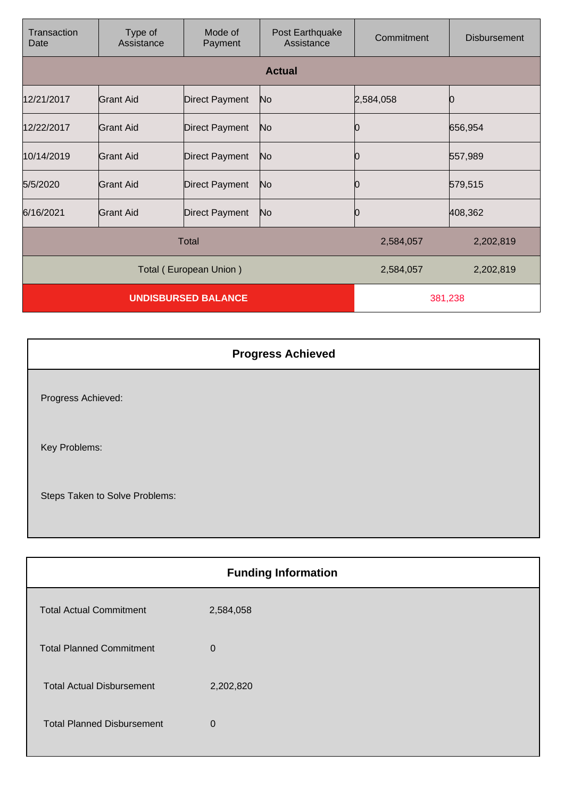| Transaction<br>Date        | Type of<br>Assistance | Mode of<br>Payment    | Post Earthquake<br>Assistance | Commitment | <b>Disbursement</b> |
|----------------------------|-----------------------|-----------------------|-------------------------------|------------|---------------------|
|                            |                       |                       | <b>Actual</b>                 |            |                     |
| 12/21/2017                 | Grant Aid             | <b>Direct Payment</b> | No                            | 2,584,058  |                     |
| 12/22/2017                 | Grant Aid             | <b>Direct Payment</b> | No                            | 0          | 656,954             |
| 10/14/2019                 | Grant Aid             | <b>Direct Payment</b> | No                            | 10         | 557,989             |
| 5/5/2020                   | <b>Grant Aid</b>      | <b>Direct Payment</b> | No                            |            | 579,515             |
| 6/16/2021                  | Grant Aid             | <b>Direct Payment</b> | No                            | 0          | 408,362             |
| <b>Total</b>               |                       |                       | 2,584,057                     | 2,202,819  |                     |
| Total (European Union)     |                       |                       | 2,584,057                     | 2,202,819  |                     |
| <b>UNDISBURSED BALANCE</b> |                       |                       | 381,238                       |            |                     |

|                                | <b>Progress Achieved</b> |
|--------------------------------|--------------------------|
| Progress Achieved:             |                          |
| Key Problems:                  |                          |
| Steps Taken to Solve Problems: |                          |

| <b>Funding Information</b>        |                |  |
|-----------------------------------|----------------|--|
| <b>Total Actual Commitment</b>    | 2,584,058      |  |
| <b>Total Planned Commitment</b>   | $\overline{0}$ |  |
| <b>Total Actual Disbursement</b>  | 2,202,820      |  |
| <b>Total Planned Disbursement</b> | $\overline{0}$ |  |